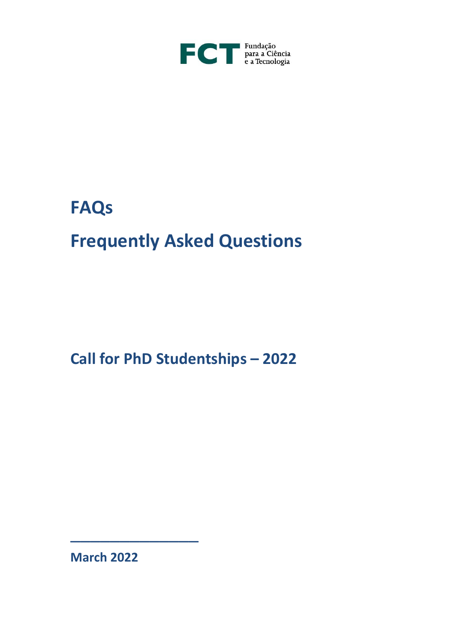

# **FAQs**

# **Frequently Asked Questions**

**Call for PhD Studentships – 2022**

**March 2022**

\_\_\_\_\_\_\_\_\_\_\_\_\_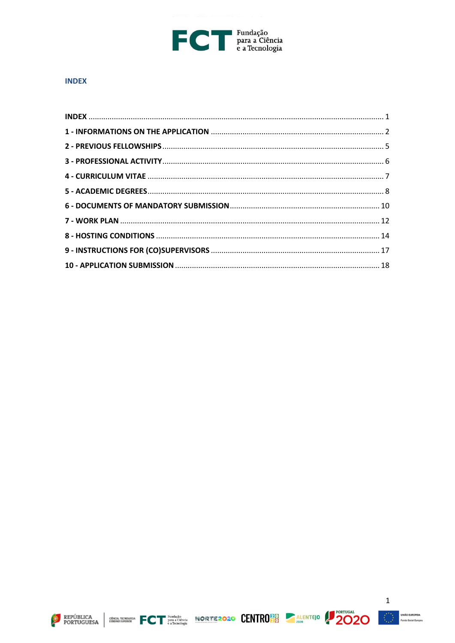

#### <span id="page-1-0"></span>**INDEX**





 $\mathbf 1$ 

kião EUROPEIA<br>não Social Europea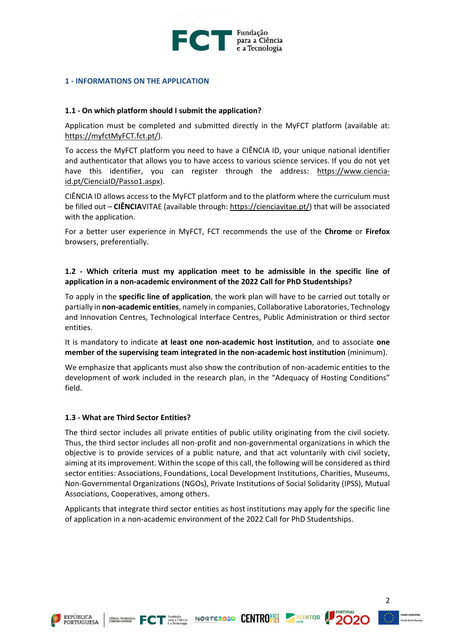

#### <span id="page-2-0"></span>**1 - INFORMATIONS ON THE APPLICATION**

#### **1.1 - On which platform should I submit the application?**

Application must be completed and submitted directly in the MyFCT platform (available at: [https://myfctMyFCT.fct.pt/\)](https://myfct.fct.pt/).

To access the MyFCT platform you need to have a CIÊNCIA ID, your unique national identifier and authenticator that allows you to have access to various science services. If you do not yet have this identifier, you can register through the address: [https://www.ciencia](https://www.ciencia-id.pt/CienciaID/Passo1.aspx)[id.pt/CienciaID/Passo1.aspx\)](https://www.ciencia-id.pt/CienciaID/Passo1.aspx).

CIÊNCIA ID allows access to the MyFCT platform and to the platform where the curriculum must be filled out – **CIÊNCIA**VITAE (available through: [https://cienciavitae.pt/\)](https://cienciavitae.pt/) that will be associated with the application.

For a better user experience in MyFCT, FCT recommends the use of the **Chrome** or **Firefox** browsers, preferentially.

# **1.2 - Which criteria must my application meet to be admissible in the specific line of application in a non-academic environment of the 2022 Call for PhD Studentships?**

To apply in the **specific line of application**, the work plan will have to be carried out totally or partially in **non-academic entities**, namely in companies, Collaborative Laboratories, Technology and Innovation Centres, Technological Interface Centres, Public Administration or third sector entities.

It is mandatory to indicate **at least one non-academic host institution**, and to associate **one member of the supervising team integrated in the non-academic host institution** (minimum).

We emphasize that applicants must also show the contribution of non-academic entities to the development of work included in the research plan, in the "Adequacy of Hosting Conditions" field.

#### **1.3 - What are Third Sector Entities?**

The third sector includes all private entities of public utility originating from the civil society. Thus, the third sector includes all non-profit and non-governmental organizations in which the objective is to provide services of a public nature, and that act voluntarily with civil society, aiming at its improvement. Within the scope of this call, the following will be considered as third sector entities: Associations, Foundations, Local Development Institutions, Charities, Museums, Non-Governmental Organizations (NGOs), Private Institutions of Social Solidarity (IPSS), Mutual Associations, Cooperatives, among others.

Applicants that integrate third sector entities as host institutions may apply for the specific line of application in a non-academic environment of the 2022 Call for PhD Studentships.









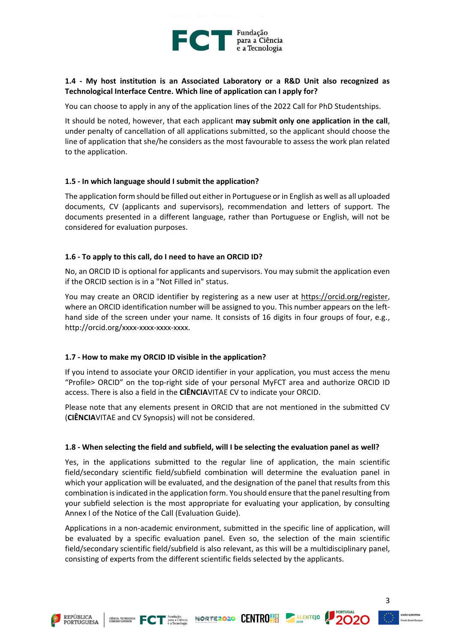

## **1.4 - My host institution is an Associated Laboratory or a R&D Unit also recognized as Technological Interface Centre. Which line of application can I apply for?**

You can choose to apply in any of the application lines of the 2022 Call for PhD Studentships.

It should be noted, however, that each applicant **may submit only one application in the call**, under penalty of cancellation of all applications submitted, so the applicant should choose the line of application that she/he considers as the most favourable to assess the work plan related to the application.

#### **1.5 - In which language should I submit the application?**

The application form should be filled out either in Portuguese or in English as well as all uploaded documents, CV (applicants and supervisors), recommendation and letters of support. The documents presented in a different language, rather than Portuguese or English, will not be considered for evaluation purposes.

## **1.6 - To apply to this call, do I need to have an ORCID ID?**

No, an ORCID ID is optional for applicants and supervisors. You may submit the application even if the ORCID section is in a "Not Filled in" status.

You may create an ORCID identifier by registering as a new user at [https://orcid.org/register,](https://orcid.org/register) where an ORCID identification number will be assigned to you. This number appears on the lefthand side of the screen under your name. It consists of 16 digits in four groups of four, e.g., http://orcid.org/xxxx-xxxx-xxxx-xxxx.

#### **1.7 - How to make my ORCID ID visible in the application?**

If you intend to associate your ORCID identifier in your application, you must access the menu "Profile> ORCID" on the top-right side of your personal MyFCT area and authorize ORCID ID access. There is also a field in the **CIÊNCIA**VITAE CV to indicate your ORCID.

Please note that any elements present in ORCID that are not mentioned in the submitted CV (**CIÊNCIA**VITAE and CV Synopsis) will not be considered.

#### **1.8 - When selecting the field and subfield, will I be selecting the evaluation panel as well?**

Yes, in the applications submitted to the regular line of application, the main scientific field/secondary scientific field/subfield combination will determine the evaluation panel in which your application will be evaluated, and the designation of the panel that results from this combination is indicated in the application form. You should ensure that the panel resulting from your subfield selection is the most appropriate for evaluating your application, by consulting Annex I of the Notice of the Call (Evaluation Guide).

Applications in a non-academic environment, submitted in the specific line of application, will be evaluated by a specific evaluation panel. Even so, the selection of the main scientific field/secondary scientific field/subfield is also relevant, as this will be a multidisciplinary panel, consisting of experts from the different scientific fields selected by the applicants.







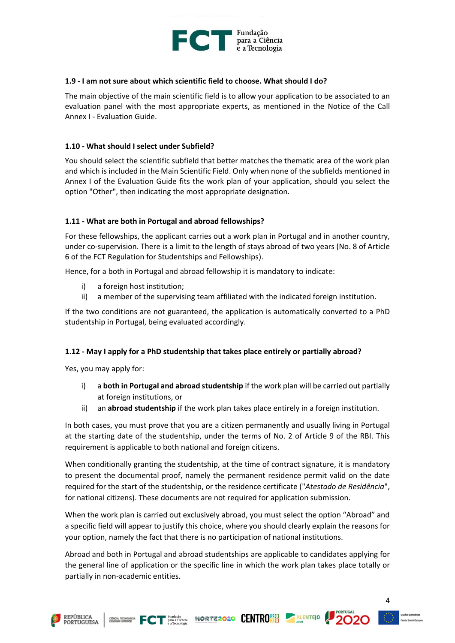

### **1.9 - I am not sure about which scientific field to choose. What should I do?**

The main objective of the main scientific field is to allow your application to be associated to an evaluation panel with the most appropriate experts, as mentioned in the Notice of the Call Annex I - Evaluation Guide.

## **1.10 - What should I select under Subfield?**

You should select the scientific subfield that better matches the thematic area of the work plan and which is included in the Main Scientific Field. Only when none of the subfields mentioned in Annex I of the Evaluation Guide fits the work plan of your application, should you select the option "Other", then indicating the most appropriate designation.

## **1.11 - What are both in Portugal and abroad fellowships?**

For these fellowships, the applicant carries out a work plan in Portugal and in another country, under co-supervision. There is a limit to the length of stays abroad of two years (No. 8 of Article 6 of the FCT Regulation for Studentships and Fellowships).

Hence, for a both in Portugal and abroad fellowship it is mandatory to indicate:

- i) a foreign host institution;
- ii) a member of the supervising team affiliated with the indicated foreign institution.

If the two conditions are not guaranteed, the application is automatically converted to a PhD studentship in Portugal, being evaluated accordingly.

#### **1.12 - May I apply for a PhD studentship that takes place entirely or partially abroad?**

Yes, you may apply for:

- i) a **both in Portugal and abroad studentship** if the work plan will be carried out partially at foreign institutions, or
- ii) an **abroad studentship** if the work plan takes place entirely in a foreign institution.

In both cases, you must prove that you are a citizen permanently and usually living in Portugal at the starting date of the studentship, under the terms of No. 2 of Article 9 of the RBI. This requirement is applicable to both national and foreign citizens.

When conditionally granting the studentship, at the time of contract signature, it is mandatory to present the documental proof, namely the permanent residence permit valid on the date required for the start of the studentship, or the residence certificate ("*Atestado de Residência*", for national citizens). These documents are not required for application submission.

When the work plan is carried out exclusively abroad, you must select the option "Abroad" and a specific field will appear to justify this choice, where you should clearly explain the reasons for your option, namely the fact that there is no participation of national institutions.

Abroad and both in Portugal and abroad studentships are applicable to candidates applying for the general line of application or the specific line in which the work plan takes place totally or partially in non-academic entities.





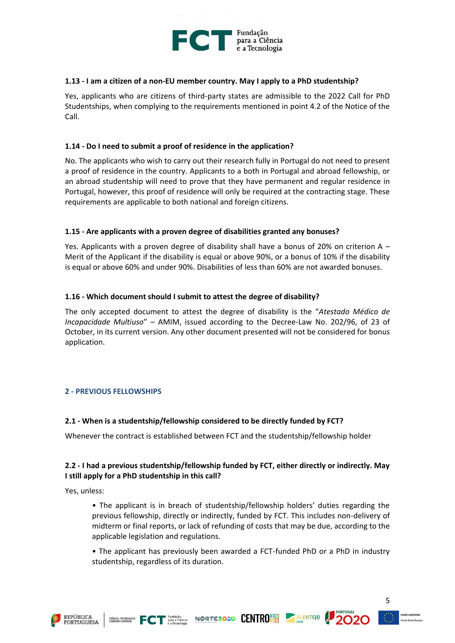

## **1.13 - I am a citizen of a non-EU member country. May I apply to a PhD studentship?**

Yes, applicants who are citizens of third-party states are admissible to the 2022 Call for PhD Studentships, when complying to the requirements mentioned in point 4.2 of the Notice of the Call.

## **1.14 - Do I need to submit a proof of residence in the application?**

No. The applicants who wish to carry out their research fully in Portugal do not need to present a proof of residence in the country. Applicants to a both in Portugal and abroad fellowship, or an abroad studentship will need to prove that they have permanent and regular residence in Portugal, however, this proof of residence will only be required at the contracting stage. These requirements are applicable to both national and foreign citizens.

## **1.15 - Are applicants with a proven degree of disabilities granted any bonuses?**

Yes. Applicants with a proven degree of disability shall have a bonus of 20% on criterion A  $-$ Merit of the Applicant if the disability is equal or above 90%, or a bonus of 10% if the disability is equal or above 60% and under 90%. Disabilities of less than 60% are not awarded bonuses.

## **1.16 - Which document should I submit to attest the degree of disability?**

The only accepted document to attest the degree of disability is the "*Atestado Médico de Incapacidade Multiuso*" – AMIM, issued according to the Decree-Law No. 202/96, of 23 of October, in its current version. Any other document presented will not be considered for bonus application.

#### <span id="page-5-0"></span>**2 - PREVIOUS FELLOWSHIPS**

#### **2.1 - When is a studentship/fellowship considered to be directly funded by FCT?**

Whenever the contract is established between FCT and the studentship/fellowship holder

# **2.2 - I had a previous studentship/fellowship funded by FCT, either directly or indirectly. May I still apply for a PhD studentship in this call?**

Yes, unless:

• The applicant is in breach of studentship/fellowship holders' duties regarding the previous fellowship, directly or indirectly, funded by FCT. This includes non-delivery of midterm or final reports, or lack of refunding of costs that may be due, according to the applicable legislation and regulations.

• The applicant has previously been awarded a FCT-funded PhD or a PhD in industry studentship, regardless of its duration.







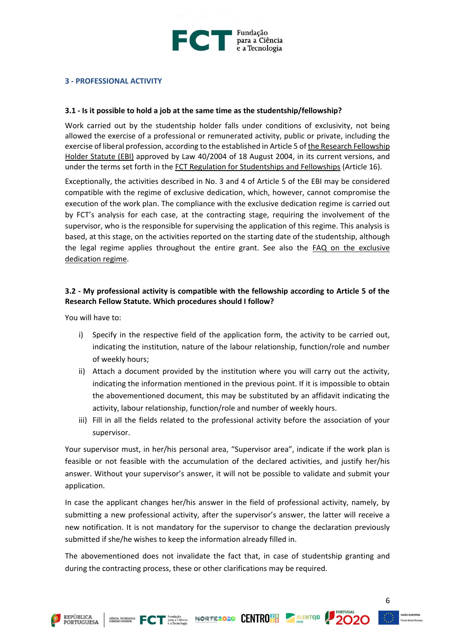

## <span id="page-6-0"></span>**3 - PROFESSIONAL ACTIVITY**

#### **3.1 - Is it possible to hold a job at the same time as the studentship/fellowship?**

Work carried out by the studentship holder falls under conditions of exclusivity, not being allowed the exercise of a professional or remunerated activity, public or private, including the exercise of liberal profession, according to the established in Article 5 of the Research Fellowship Holder [Statute \(EBI\)](https://www.fct.pt/apoios/bolsas/estatutobolseiro.phtml.en) approved by Law 40/2004 of 18 August 2004, in its current versions, and under the terms set forth in the [FCT Regulation for Studentships and Fellowships](https://www.fct.pt/apoios/bolsas/regulamento.phtml.en) (Article 16).

Exceptionally, the activities described in No. 3 and 4 of Article 5 of the EBI may be considered compatible with the regime of exclusive dedication, which, however, cannot compromise the execution of the work plan. The compliance with the exclusive dedication regime is carried out by FCT's analysis for each case, at the contracting stage, requiring the involvement of the supervisor, who is the responsible for supervising the application of this regime. This analysis is based, at this stage, on the activities reported on the starting date of the studentship, although the legal regime applies throughout the entire grant. See also the [FAQ on the exclusive](https://www.fct.pt/faq/brow.phtml.en?faqtema=E579D57E-68BD-4B63-A255-1260A19E5BE1&faqsubtema=B2597C8B-0FFF-4547-8402-F633E029CF6A)  [dedication regime.](https://www.fct.pt/faq/brow.phtml.en?faqtema=E579D57E-68BD-4B63-A255-1260A19E5BE1&faqsubtema=B2597C8B-0FFF-4547-8402-F633E029CF6A)

## **3.2 - My professional activity is compatible with the fellowship according to Article 5 of the Research Fellow Statute. Which procedures should I follow?**

You will have to:

- i) Specify in the respective field of the application form, the activity to be carried out, indicating the institution, nature of the labour relationship, function/role and number of weekly hours;
- ii) Attach a document provided by the institution where you will carry out the activity, indicating the information mentioned in the previous point. If it is impossible to obtain the abovementioned document, this may be substituted by an affidavit indicating the activity, labour relationship, function/role and number of weekly hours.
- iii) Fill in all the fields related to the professional activity before the association of your supervisor.

Your supervisor must, in her/his personal area, "Supervisor area", indicate if the work plan is feasible or not feasible with the accumulation of the declared activities, and justify her/his answer. Without your supervisor's answer, it will not be possible to validate and submit your application.

In case the applicant changes her/his answer in the field of professional activity, namely, by submitting a new professional activity, after the supervisor's answer, the latter will receive a new notification. It is not mandatory for the supervisor to change the declaration previously submitted if she/he wishes to keep the information already filled in.

The abovementioned does not invalidate the fact that, in case of studentship granting and during the contracting process, these or other clarifications may be required.





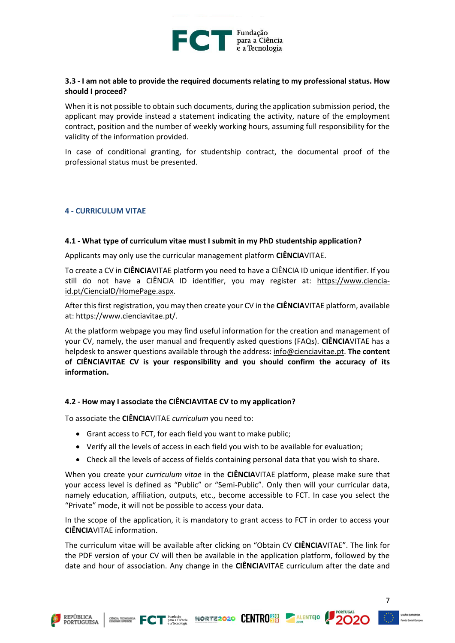

## **3.3 - I am not able to provide the required documents relating to my professional status. How should I proceed?**

When it is not possible to obtain such documents, during the application submission period, the applicant may provide instead a statement indicating the activity, nature of the employment contract, position and the number of weekly working hours, assuming full responsibility for the validity of the information provided.

In case of conditional granting, for studentship contract, the documental proof of the professional status must be presented.

#### <span id="page-7-0"></span>**4 - CURRICULUM VITAE**

#### **4.1 - What type of curriculum vitae must I submit in my PhD studentship application?**

Applicants may only use the curricular management platform **CIÊNCIA**VITAE.

To create a CV in **CIÊNCIA**VITAE platform you need to have a CIÊNCIA ID unique identifier. If you still do not have a CIÊNCIA ID identifier, you may register at: [https://www.ciencia](https://www.ciencia-id.pt/CienciaID/HomePage.aspx)[id.pt/CienciaID/HomePage.aspx.](https://www.ciencia-id.pt/CienciaID/HomePage.aspx)

After this first registration, you may then create your CV in the **CIÊNCIA**VITAE platform, available at: [https://www.cienciavitae.pt/.](https://www.cienciavitae.pt/)

At the platform webpage you may find useful information for the creation and management of your CV, namely, the user manual and frequently asked questions (FAQs). **CIÊNCIA**VITAE has a helpdesk to answer questions available through the address: [info@cienciavitae.pt.](mailto:info@cienciavitae.pt) **The content of CIÊNCIAVITAE CV is your responsibility and you should confirm the accuracy of its information.**

#### **4.2 - How may I associate the CIÊNCIAVITAE CV to my application?**

To associate the **CIÊNCIA**VITAE *curriculum* you need to:

- Grant access to FCT, for each field you want to make public;
- Verify all the levels of access in each field you wish to be available for evaluation;
- Check all the levels of access of fields containing personal data that you wish to share.

When you create your *curriculum vitae* in the **CIÊNCIA**VITAE platform, please make sure that your access level is defined as "Public" or "Semi-Public". Only then will your curricular data, namely education, affiliation, outputs, etc., become accessible to FCT. In case you select the "Private" mode, it will not be possible to access your data.

In the scope of the application, it is mandatory to grant access to FCT in order to access your **CIÊNCIA**VITAE information.

The curriculum vitae will be available after clicking on "Obtain CV **CIÊNCIA**VITAE". The link for the PDF version of your CV will then be available in the application platform, followed by the date and hour of association. Any change in the **CIÊNCIA**VITAE curriculum after the date and

CINER TECNOGULAR FOT BATACTÉRICA NORTE2020 CENTRO 30 ALENTEJO



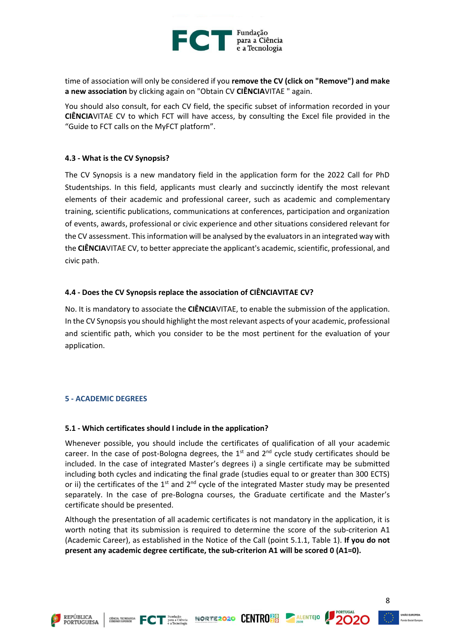

time of association will only be considered if you **remove the CV (click on "Remove") and make a new association** by clicking again on "Obtain CV **CIÊNCIA**VITAE " again.

You should also consult, for each CV field, the specific subset of information recorded in your **CIÊNCIA**VITAE CV to which FCT will have access, by consulting the Excel file provided in the "Guide to FCT calls on the MyFCT platform".

#### **4.3 - What is the CV Synopsis?**

The CV Synopsis is a new mandatory field in the application form for the 2022 Call for PhD Studentships. In this field, applicants must clearly and succinctly identify the most relevant elements of their academic and professional career, such as academic and complementary training, scientific publications, communications at conferences, participation and organization of events, awards, professional or civic experience and other situations considered relevant for the CV assessment. This information will be analysed by the evaluators in an integrated way with the **CIÊNCIA**VITAE CV, to better appreciate the applicant's academic, scientific, professional, and civic path.

#### **4.4 - Does the CV Synopsis replace the association of CIÊNCIAVITAE CV?**

No. It is mandatory to associate the **CIÊNCIA**VITAE, to enable the submission of the application. In the CV Synopsis you should highlight the most relevant aspects of your academic, professional and scientific path, which you consider to be the most pertinent for the evaluation of your application.

#### <span id="page-8-0"></span>**5 - ACADEMIC DEGREES**

#### **5.1 - Which certificates should I include in the application?**

Whenever possible, you should include the certificates of qualification of all your academic career. In the case of post-Bologna degrees, the  $1<sup>st</sup>$  and  $2<sup>nd</sup>$  cycle study certificates should be included. In the case of integrated Master's degrees i) a single certificate may be submitted including both cycles and indicating the final grade (studies equal to or greater than 300 ECTS) or ii) the certificates of the  $1<sup>st</sup>$  and  $2<sup>nd</sup>$  cycle of the integrated Master study may be presented separately. In the case of pre-Bologna courses, the Graduate certificate and the Master's certificate should be presented.

Although the presentation of all academic certificates is not mandatory in the application, it is worth noting that its submission is required to determine the score of the sub-criterion A1 (Academic Career), as established in the Notice of the Call (point 5.1.1, Table 1). **If you do not present any academic degree certificate, the sub-criterion A1 will be scored 0 (A1=0).**







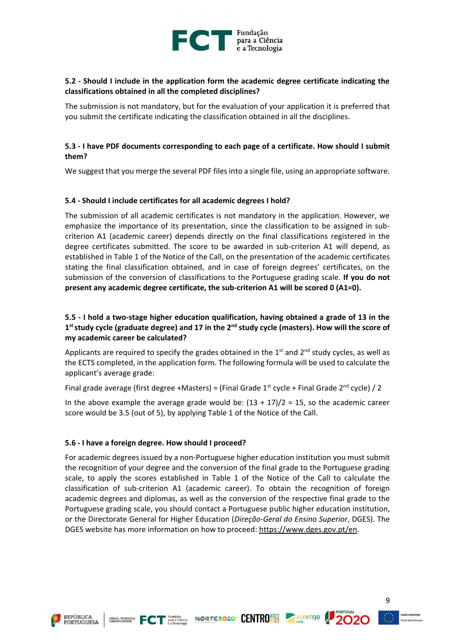

## **5.2 - Should I include in the application form the academic degree certificate indicating the classifications obtained in all the completed disciplines?**

The submission is not mandatory, but for the evaluation of your application it is preferred that you submit the certificate indicating the classification obtained in all the disciplines.

# **5.3 - I have PDF documents corresponding to each page of a certificate. How should I submit them?**

We suggest that you merge the several PDF files into a single file, using an appropriate software.

#### **5.4 - Should I include certificates for all academic degrees I hold?**

The submission of all academic certificates is not mandatory in the application. However, we emphasize the importance of its presentation, since the classification to be assigned in subcriterion A1 (academic career) depends directly on the final classifications registered in the degree certificates submitted. The score to be awarded in sub-criterion A1 will depend, as established in Table 1 of the Notice of the Call, on the presentation of the academic certificates stating the final classification obtained, and in case of foreign degrees' certificates, on the submission of the conversion of classifications to the Portuguese grading scale. **If you do not present any academic degree certificate, the sub-criterion A1 will be scored 0 (A1=0).**

# **5.5 - I hold a two-stage higher education qualification, having obtained a grade of 13 in the 1 ststudy cycle (graduate degree) and 17 in the 2nd study cycle (masters). How will the score of my academic career be calculated?**

Applicants are required to specify the grades obtained in the  $1<sup>st</sup>$  and  $2<sup>nd</sup>$  study cycles, as well as the ECTS completed, in the application form. The following formula will be used to calculate the applicant's average grade:

Final grade average (first degree +Masters) = (Final Grade  $1<sup>st</sup>$  cycle + Final Grade  $2<sup>nd</sup>$  cycle) / 2

In the above example the average grade would be:  $(13 + 17)/2 = 15$ , so the academic career score would be 3.5 (out of 5), by applying Table 1 of the Notice of the Call.

#### **5.6 - I have a foreign degree. How should I proceed?**

For academic degrees issued by a non-Portuguese higher education institution you must submit the recognition of your degree and the conversion of the final grade to the Portuguese grading scale, to apply the scores established in Table 1 of the Notice of the Call to calculate the classification of sub-criterion A1 (academic career). To obtain the recognition of foreign academic degrees and diplomas, as well as the conversion of the respective final grade to the Portuguese grading scale, you should contact a Portuguese public higher education institution, or the Directorate General for Higher Education (*Direção-Geral do Ensino Superior*, DGES). The DGES website has more information on how to proceed: [https://www.dges.gov.pt/en.](https://www.dges.gov.pt/en)





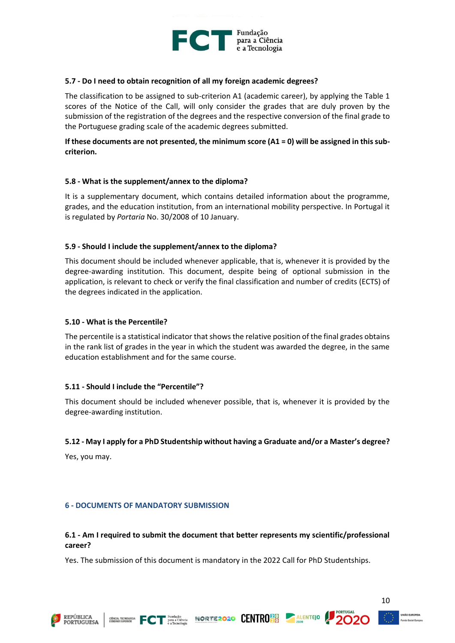

#### **5.7 - Do I need to obtain recognition of all my foreign academic degrees?**

The classification to be assigned to sub-criterion A1 (academic career), by applying the Table 1 scores of the Notice of the Call, will only consider the grades that are duly proven by the submission of the registration of the degrees and the respective conversion of the final grade to the Portuguese grading scale of the academic degrees submitted.

## **If these documents are not presented, the minimum score (A1 = 0) will be assigned in this subcriterion.**

#### **5.8 - What is the supplement/annex to the diploma?**

It is a supplementary document, which contains detailed information about the programme, grades, and the education institution, from an international mobility perspective. In Portugal it is regulated by *Portaria* No. 30/2008 of 10 January.

#### **5.9 - Should I include the supplement/annex to the diploma?**

This document should be included whenever applicable, that is, whenever it is provided by the degree-awarding institution. This document, despite being of optional submission in the application, is relevant to check or verify the final classification and number of credits (ECTS) of the degrees indicated in the application.

#### **5.10 - What is the Percentile?**

The percentile is a statistical indicator that shows the relative position of the final grades obtains in the rank list of grades in the year in which the student was awarded the degree, in the same education establishment and for the same course.

#### **5.11 - Should I include the "Percentile"?**

This document should be included whenever possible, that is, whenever it is provided by the degree-awarding institution.

#### **5.12 - May I apply for a PhD Studentship without having a Graduate and/or a Master's degree?**

Yes, you may.

#### <span id="page-10-0"></span>**6 - DOCUMENTS OF MANDATORY SUBMISSION**

#### **6.1 - Am I required to submit the document that better represents my scientific/professional career?**

Yes. The submission of this document is mandatory in the 2022 Call for PhD Studentships.

CHINE RESERVED ON THE PLANSIS NORTE 2020 CENTRO 20 ALENTEJO



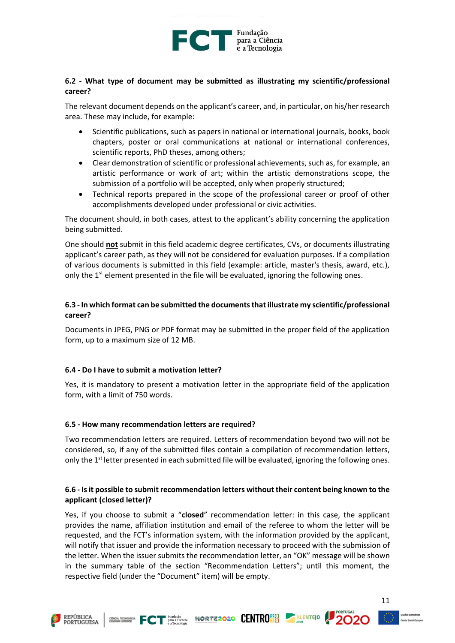

## **6.2 - What type of document may be submitted as illustrating my scientific/professional career?**

The relevant document depends on the applicant's career, and, in particular, on his/her research area. These may include, for example:

- Scientific publications, such as papers in national or international journals, books, book chapters, poster or oral communications at national or international conferences, scientific reports, PhD theses, among others;
- Clear demonstration of scientific or professional achievements, such as, for example, an artistic performance or work of art; within the artistic demonstrations scope, the submission of a portfolio will be accepted, only when properly structured;
- Technical reports prepared in the scope of the professional career or proof of other accomplishments developed under professional or civic activities.

The document should, in both cases, attest to the applicant's ability concerning the application being submitted.

One should **not** submit in this field academic degree certificates, CVs, or documents illustrating applicant's career path, as they will not be considered for evaluation purposes. If a compilation of various documents is submitted in this field (example: article, master's thesis, award, etc.), only the  $1<sup>st</sup>$  element presented in the file will be evaluated, ignoring the following ones.

# **6.3 - In which format can be submitted the documents that illustrate my scientific/professional career?**

Documents in JPEG, PNG or PDF format may be submitted in the proper field of the application form, up to a maximum size of 12 MB.

# **6.4 - Do I have to submit a motivation letter?**

Yes, it is mandatory to present a motivation letter in the appropriate field of the application form, with a limit of 750 words.

#### **6.5 - How many recommendation letters are required?**

Two recommendation letters are required. Letters of recommendation beyond two will not be considered, so, if any of the submitted files contain a compilation of recommendation letters, only the  $1<sup>st</sup>$  letter presented in each submitted file will be evaluated, ignoring the following ones.

## **6.6 - Is it possible to submit recommendation letters without their content being known to the applicant (closed letter)?**

Yes, if you choose to submit a "**closed**" recommendation letter: in this case, the applicant provides the name, affiliation institution and email of the referee to whom the letter will be requested, and the FCT's information system, with the information provided by the applicant, will notify that issuer and provide the information necessary to proceed with the submission of the letter. When the issuer submits the recommendation letter, an "OK" message will be shown in the summary table of the section "Recommendation Letters"; until this moment, the respective field (under the "Document" item) will be empty.







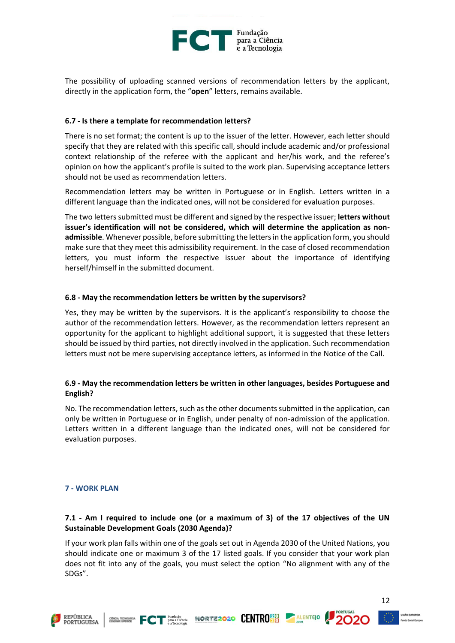

The possibility of uploading scanned versions of recommendation letters by the applicant, directly in the application form, the "**open**" letters, remains available.

## **6.7 - Is there a template for recommendation letters?**

There is no set format; the content is up to the issuer of the letter. However, each letter should specify that they are related with this specific call, should include academic and/or professional context relationship of the referee with the applicant and her/his work, and the referee's opinion on how the applicant's profile is suited to the work plan. Supervising acceptance letters should not be used as recommendation letters.

Recommendation letters may be written in Portuguese or in English. Letters written in a different language than the indicated ones, will not be considered for evaluation purposes.

The two letters submitted must be different and signed by the respective issuer; **letters without issuer's identification will not be considered, which will determine the application as nonadmissible**. Whenever possible, before submitting the letters in the application form, you should make sure that they meet this admissibility requirement. In the case of closed recommendation letters, you must inform the respective issuer about the importance of identifying herself/himself in the submitted document.

#### **6.8 - May the recommendation letters be written by the supervisors?**

Yes, they may be written by the supervisors. It is the applicant's responsibility to choose the author of the recommendation letters. However, as the recommendation letters represent an opportunity for the applicant to highlight additional support, it is suggested that these letters should be issued by third parties, not directly involved in the application. Such recommendation letters must not be mere supervising acceptance letters, as informed in the Notice of the Call.

## **6.9 - May the recommendation letters be written in other languages, besides Portuguese and English?**

No. The recommendation letters, such as the other documents submitted in the application, can only be written in Portuguese or in English, under penalty of non-admission of the application. Letters written in a different language than the indicated ones, will not be considered for evaluation purposes.

# <span id="page-12-0"></span>**7 - WORK PLAN**

# **7.1 - Am I required to include one (or a maximum of 3) of the 17 objectives of the UN Sustainable Development Goals (2030 Agenda)?**

If your work plan falls within one of the goals set out in Agenda 2030 of the United Nations, you should indicate one or maximum 3 of the 17 listed goals. If you consider that your work plan does not fit into any of the goals, you must select the option "No alignment with any of the SDGs".







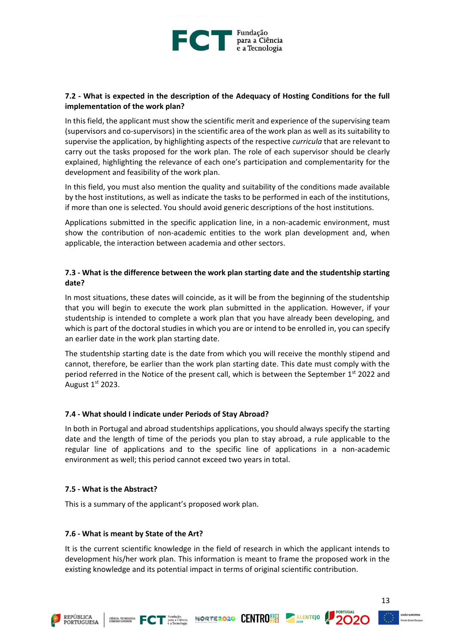

# **7.2 - What is expected in the description of the Adequacy of Hosting Conditions for the full implementation of the work plan?**

In this field, the applicant must show the scientific merit and experience of the supervising team (supervisors and co-supervisors) in the scientific area of the work plan as well as its suitability to supervise the application, by highlighting aspects of the respective *curricula* that are relevant to carry out the tasks proposed for the work plan. The role of each supervisor should be clearly explained, highlighting the relevance of each one's participation and complementarity for the development and feasibility of the work plan.

In this field, you must also mention the quality and suitability of the conditions made available by the host institutions, as well as indicate the tasks to be performed in each of the institutions, if more than one is selected. You should avoid generic descriptions of the host institutions.

Applications submitted in the specific application line, in a non-academic environment, must show the contribution of non-academic entities to the work plan development and, when applicable, the interaction between academia and other sectors.

## **7.3 - What is the difference between the work plan starting date and the studentship starting date?**

In most situations, these dates will coincide, as it will be from the beginning of the studentship that you will begin to execute the work plan submitted in the application. However, if your studentship is intended to complete a work plan that you have already been developing, and which is part of the doctoral studies in which you are or intend to be enrolled in, you can specify an earlier date in the work plan starting date.

The studentship starting date is the date from which you will receive the monthly stipend and cannot, therefore, be earlier than the work plan starting date. This date must comply with the period referred in the Notice of the present call, which is between the September 1st 2022 and August 1st 2023.

#### **7.4 - What should I indicate under Periods of Stay Abroad?**

In both in Portugal and abroad studentships applications, you should always specify the starting date and the length of time of the periods you plan to stay abroad, a rule applicable to the regular line of applications and to the specific line of applications in a non-academic environment as well; this period cannot exceed two years in total.

#### **7.5 - What is the Abstract?**

This is a summary of the applicant's proposed work plan.

#### **7.6 - What is meant by State of the Art?**

It is the current scientific knowledge in the field of research in which the applicant intends to development his/her work plan. This information is meant to frame the proposed work in the existing knowledge and its potential impact in terms of original scientific contribution.

GENTRO BLENTEJO **FORTEZOZO CENTRO E ALENTEJO** 



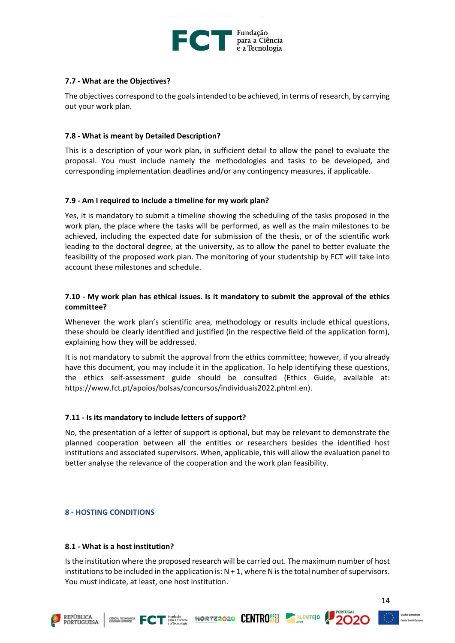

## **7.7 - What are the Objectives?**

The objectives correspond to the goals intended to be achieved, in terms of research, by carrying out your work plan.

## **7.8 - What is meant by Detailed Description?**

This is a description of your work plan, in sufficient detail to allow the panel to evaluate the proposal. You must include namely the methodologies and tasks to be developed, and corresponding implementation deadlines and/or any contingency measures, if applicable.

## **7.9 - Am I required to include a timeline for my work plan?**

Yes, it is mandatory to submit a timeline showing the scheduling of the tasks proposed in the work plan, the place where the tasks will be performed, as well as the main milestones to be achieved, including the expected date for submission of the thesis, or of the scientific work leading to the doctoral degree, at the university, as to allow the panel to better evaluate the feasibility of the proposed work plan. The monitoring of your studentship by FCT will take into account these milestones and schedule.

## **7.10 - My work plan has ethical issues. Is it mandatory to submit the approval of the ethics committee?**

Whenever the work plan's scientific area, methodology or results include ethical questions, these should be clearly identified and justified (in the respective field of the application form), explaining how they will be addressed.

It is not mandatory to submit the approval from the ethics committee; however, if you already have this document, you may include it in the application. To help identifying these questions, the ethics self-assessment guide should be consulted (Ethics Guide, available at: [https://www.fct.pt/apoios/bolsas/concursos/individuais2022.phtml.en\)](https://www.fct.pt/apoios/bolsas/concursos/individuais2022.phtml.en).

#### **7.11 - Is its mandatory to include letters of support?**

No, the presentation of a letter of support is optional, but may be relevant to demonstrate the planned cooperation between all the entities or researchers besides the identified host institutions and associated supervisors. When, applicable, this will allow the evaluation panel to better analyse the relevance of the cooperation and the work plan feasibility.

#### <span id="page-14-0"></span>**8 - HOSTING CONDITIONS**

#### **8.1 - What is a host institution?**

Is the institution where the proposed research will be carried out. The maximum number of host institutions to be included in the application is:  $N + 1$ , where N is the total number of supervisors. You must indicate, at least, one host institution.







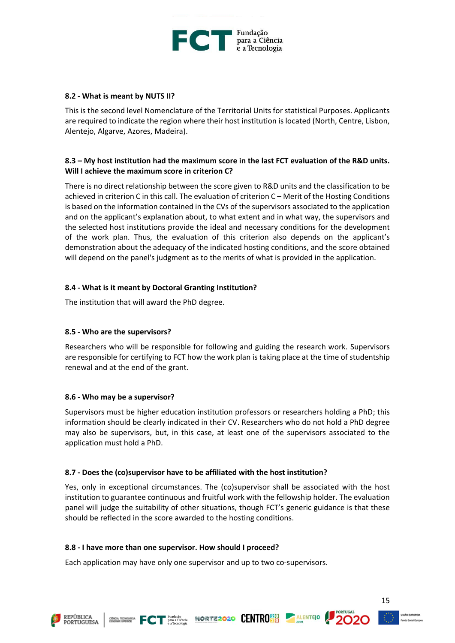

#### **8.2 - What is meant by NUTS II?**

This is the second level Nomenclature of the Territorial Units for statistical Purposes. Applicants are required to indicate the region where their host institution is located (North, Centre, Lisbon, Alentejo, Algarve, Azores, Madeira).

# **8.3 – My host institution had the maximum score in the last FCT evaluation of the R&D units. Will I achieve the maximum score in criterion C?**

There is no direct relationship between the score given to R&D units and the classification to be achieved in criterion C in this call. The evaluation of criterion C – Merit of the Hosting Conditions is based on the information contained in the CVs of the supervisors associated to the application and on the applicant's explanation about, to what extent and in what way, the supervisors and the selected host institutions provide the ideal and necessary conditions for the development of the work plan. Thus, the evaluation of this criterion also depends on the applicant's demonstration about the adequacy of the indicated hosting conditions, and the score obtained will depend on the panel's judgment as to the merits of what is provided in the application.

# **8.4 - What is it meant by Doctoral Granting Institution?**

The institution that will award the PhD degree.

#### **8.5 - Who are the supervisors?**

Researchers who will be responsible for following and guiding the research work. Supervisors are responsible for certifying to FCT how the work plan is taking place at the time of studentship renewal and at the end of the grant.

#### **8.6 - Who may be a supervisor?**

Supervisors must be higher education institution professors or researchers holding a PhD; this information should be clearly indicated in their CV. Researchers who do not hold a PhD degree may also be supervisors, but, in this case, at least one of the supervisors associated to the application must hold a PhD.

#### **8.7 - Does the (co)supervisor have to be affiliated with the host institution?**

Yes, only in exceptional circumstances. The (co)supervisor shall be associated with the host institution to guarantee continuous and fruitful work with the fellowship holder. The evaluation panel will judge the suitability of other situations, though FCT's generic guidance is that these should be reflected in the score awarded to the hosting conditions.

**FIND TO THE PRODUCE NORTEZOZO CENTRO DO ALENTEJO 2000** 

#### **8.8 - I have more than one supervisor. How should I proceed?**

Each application may have only one supervisor and up to two co-supervisors.



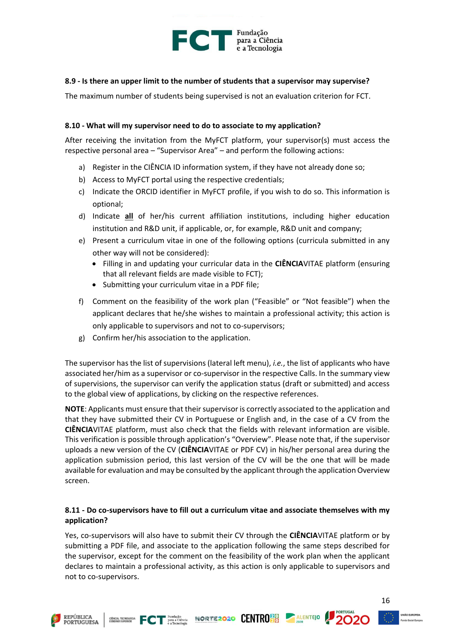

#### **8.9 - Is there an upper limit to the number of students that a supervisor may supervise?**

The maximum number of students being supervised is not an evaluation criterion for FCT.

#### **8.10 - What will my supervisor need to do to associate to my application?**

After receiving the invitation from the MyFCT platform, your supervisor(s) must access the respective personal area – "Supervisor Area" – and perform the following actions:

- a) Register in the CIÊNCIA ID information system, if they have not already done so;
- b) Access to MyFCT portal using the respective credentials;
- c) Indicate the ORCID identifier in MyFCT profile, if you wish to do so. This information is optional;
- d) Indicate **all** of her/his current affiliation institutions, including higher education institution and R&D unit, if applicable, or, for example, R&D unit and company;
- e) Present a curriculum vitae in one of the following options (curricula submitted in any other way will not be considered):
	- Filling in and updating your curricular data in the **CIÊNCIA**VITAE platform (ensuring that all relevant fields are made visible to FCT);
	- Submitting your curriculum vitae in a PDF file;
- f) Comment on the feasibility of the work plan ("Feasible" or "Not feasible") when the applicant declares that he/she wishes to maintain a professional activity; this action is only applicable to supervisors and not to co-supervisors;
- g) Confirm her/his association to the application.

The supervisor has the list of supervisions (lateral left menu), *i.e.*, the list of applicants who have associated her/him as a supervisor or co-supervisor in the respective Calls. In the summary view of supervisions, the supervisor can verify the application status (draft or submitted) and access to the global view of applications, by clicking on the respective references.

**NOTE**: Applicants must ensure that their supervisor is correctly associated to the application and that they have submitted their CV in Portuguese or English and, in the case of a CV from the **CIÊNCIA**VITAE platform, must also check that the fields with relevant information are visible. This verification is possible through application's "Overview". Please note that, if the supervisor uploads a new version of the CV (**CIÊNCIA**VITAE or PDF CV) in his/her personal area during the application submission period, this last version of the CV will be the one that will be made available for evaluation and may be consulted by the applicant through the application Overview screen.

## **8.11 - Do co-supervisors have to fill out a curriculum vitae and associate themselves with my application?**

Yes, co-supervisors will also have to submit their CV through the **CIÊNCIA**VITAE platform or by submitting a PDF file, and associate to the application following the same steps described for the supervisor, except for the comment on the feasibility of the work plan when the applicant declares to maintain a professional activity, as this action is only applicable to supervisors and not to co-supervisors.







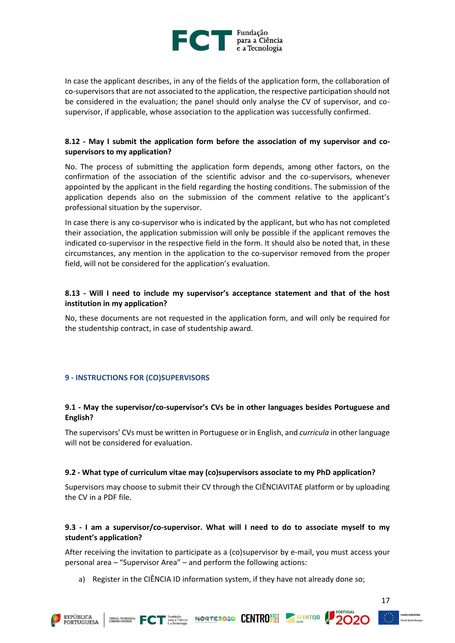

In case the applicant describes, in any of the fields of the application form, the collaboration of co-supervisorsthat are not associated to the application, the respective participation should not be considered in the evaluation; the panel should only analyse the CV of supervisor, and cosupervisor, if applicable, whose association to the application was successfully confirmed.

# **8.12 - May I submit the application form before the association of my supervisor and cosupervisors to my application?**

No. The process of submitting the application form depends, among other factors, on the confirmation of the association of the scientific advisor and the co-supervisors, whenever appointed by the applicant in the field regarding the hosting conditions. The submission of the application depends also on the submission of the comment relative to the applicant's professional situation by the supervisor.

In case there is any co-supervisor who is indicated by the applicant, but who has not completed their association, the application submission will only be possible if the applicant removes the indicated co-supervisor in the respective field in the form. It should also be noted that, in these circumstances, any mention in the application to the co-supervisor removed from the proper field, will not be considered for the application's evaluation.

## **8.13 - Will I need to include my supervisor's acceptance statement and that of the host institution in my application?**

No, these documents are not requested in the application form, and will only be required for the studentship contract, in case of studentship award.

#### <span id="page-17-0"></span>**9 - INSTRUCTIONS FOR (CO)SUPERVISORS**

# **9.1 - May the supervisor/co-supervisor's CVs be in other languages besides Portuguese and English?**

The supervisors' CVs must be written in Portuguese or in English, and *curricula* in other language will not be considered for evaluation.

#### **9.2 - What type of curriculum vitae may (co)supervisors associate to my PhD application?**

Supervisors may choose to submit their CV through the CIÊNCIAVITAE platform or by uploading the CV in a PDF file.

# **9.3 - I am a supervisor/co-supervisor. What will I need to do to associate myself to my student's application?**

After receiving the invitation to participate as a (co)supervisor by e-mail, you must access your personal area – "Supervisor Area" – and perform the following actions:

a) Register in the CIÊNCIA ID information system, if they have not already done so;







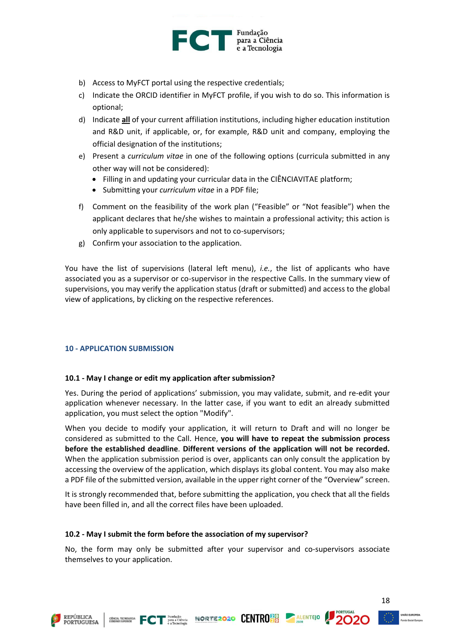

- b) Access to MyFCT portal using the respective credentials;
- c) Indicate the ORCID identifier in MyFCT profile, if you wish to do so. This information is optional;
- d) Indicate **all** of your current affiliation institutions, including higher education institution and R&D unit, if applicable, or, for example, R&D unit and company, employing the official designation of the institutions;
- e) Present a *curriculum vitae* in one of the following options (curricula submitted in any other way will not be considered):
	- Filling in and updating your curricular data in the CIÊNCIAVITAE platform;
	- Submitting your *curriculum vitae* in a PDF file;
- f) Comment on the feasibility of the work plan ("Feasible" or "Not feasible") when the applicant declares that he/she wishes to maintain a professional activity; this action is only applicable to supervisors and not to co-supervisors;
- g) Confirm your association to the application.

You have the list of supervisions (lateral left menu), *i.e.*, the list of applicants who have associated you as a supervisor or co-supervisor in the respective Calls. In the summary view of supervisions, you may verify the application status (draft or submitted) and access to the global view of applications, by clicking on the respective references.

#### <span id="page-18-0"></span>**10 - APPLICATION SUBMISSION**

#### **10.1 - May I change or edit my application after submission?**

Yes. During the period of applications' submission, you may validate, submit, and re-edit your application whenever necessary. In the latter case, if you want to edit an already submitted application, you must select the option "Modify".

When you decide to modify your application, it will return to Draft and will no longer be considered as submitted to the Call. Hence, **you will have to repeat the submission process before the established deadline**. **Different versions of the application will not be recorded.** When the application submission period is over, applicants can only consult the application by accessing the overview of the application, which displays its global content. You may also make a PDF file of the submitted version, available in the upper right corner of the "Overview" screen.

It is strongly recommended that, before submitting the application, you check that all the fields have been filled in, and all the correct files have been uploaded.

#### **10.2 - May I submit the form before the association of my supervisor?**

No, the form may only be submitted after your supervisor and co-supervisors associate themselves to your application.





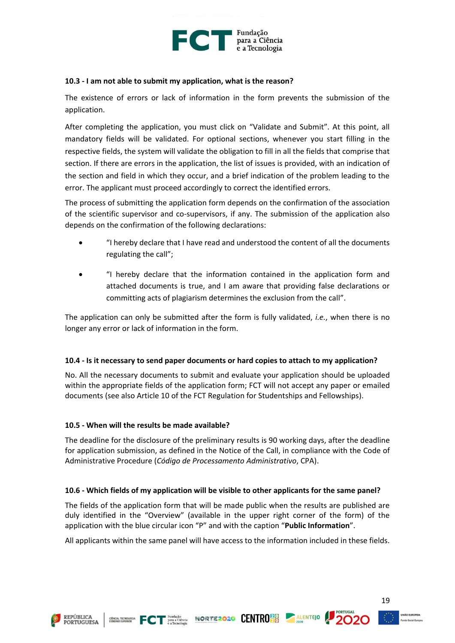

#### **10.3 - I am not able to submit my application, what is the reason?**

The existence of errors or lack of information in the form prevents the submission of the application.

After completing the application, you must click on "Validate and Submit". At this point, all mandatory fields will be validated. For optional sections, whenever you start filling in the respective fields, the system will validate the obligation to fill in all the fields that comprise that section. If there are errors in the application, the list of issues is provided, with an indication of the section and field in which they occur, and a brief indication of the problem leading to the error. The applicant must proceed accordingly to correct the identified errors.

The process of submitting the application form depends on the confirmation of the association of the scientific supervisor and co-supervisors, if any. The submission of the application also depends on the confirmation of the following declarations:

- "I hereby declare that I have read and understood the content of all the documents regulating the call";
- "I hereby declare that the information contained in the application form and attached documents is true, and I am aware that providing false declarations or committing acts of plagiarism determines the exclusion from the call".

The application can only be submitted after the form is fully validated, *i.e.*, when there is no longer any error or lack of information in the form.

#### **10.4 - Is it necessary to send paper documents or hard copies to attach to my application?**

No. All the necessary documents to submit and evaluate your application should be uploaded within the appropriate fields of the application form; FCT will not accept any paper or emailed documents (see also Article 10 of the FCT Regulation for Studentships and Fellowships).

#### **10.5 - When will the results be made available?**

The deadline for the disclosure of the preliminary results is 90 working days, after the deadline for application submission, as defined in the Notice of the Call, in compliance with the Code of Administrative Procedure (*Código de Processamento Administrativo*, CPA).

#### **10.6 - Which fields of my application will be visible to other applicants for the same panel?**

The fields of the application form that will be made public when the results are published are duly identified in the "Overview" (available in the upper right corner of the form) of the application with the blue circular icon "P" and with the caption "**Public Information**".

All applicants within the same panel will have access to the information included in these fields.